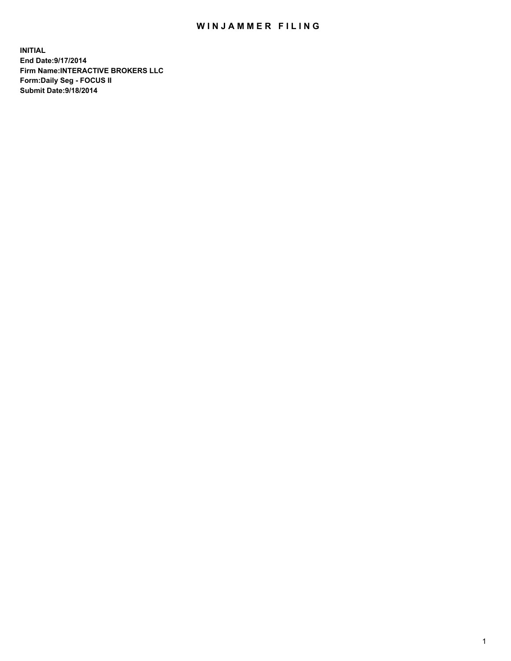## WIN JAMMER FILING

**INITIAL End Date:9/17/2014 Firm Name:INTERACTIVE BROKERS LLC Form:Daily Seg - FOCUS II Submit Date:9/18/2014**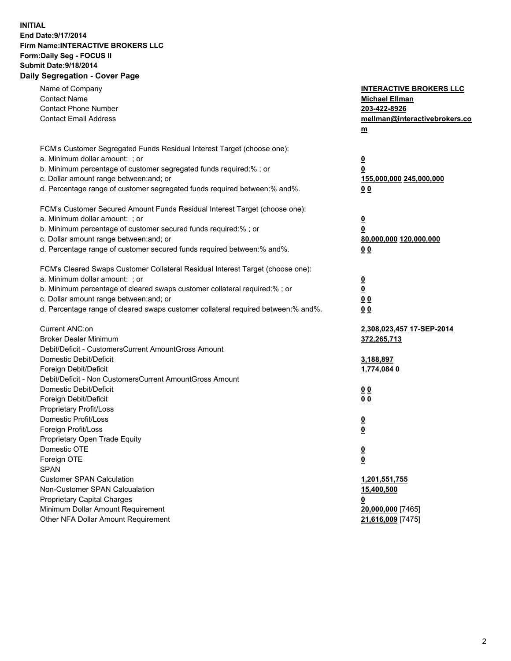## **INITIAL End Date:9/17/2014 Firm Name:INTERACTIVE BROKERS LLC Form:Daily Seg - FOCUS II Submit Date:9/18/2014 Daily Segregation - Cover Page**

| Name of Company<br><b>Contact Name</b><br><b>Contact Phone Number</b><br><b>Contact Email Address</b>    | <b>INTERACTIVE BROKERS LLC</b><br><b>Michael Ellman</b><br>203-422-8926<br>mellman@interactivebrokers.co<br>$m$ |
|----------------------------------------------------------------------------------------------------------|-----------------------------------------------------------------------------------------------------------------|
| FCM's Customer Segregated Funds Residual Interest Target (choose one):<br>a. Minimum dollar amount: ; or | $\overline{\mathbf{0}}$                                                                                         |
| b. Minimum percentage of customer segregated funds required:% ; or                                       | 0                                                                                                               |
| c. Dollar amount range between: and; or                                                                  | 155,000,000 245,000,000                                                                                         |
| d. Percentage range of customer segregated funds required between:% and%.                                | 0 <sub>0</sub>                                                                                                  |
| FCM's Customer Secured Amount Funds Residual Interest Target (choose one):                               |                                                                                                                 |
| a. Minimum dollar amount: ; or                                                                           | $\overline{\mathbf{0}}$                                                                                         |
| b. Minimum percentage of customer secured funds required:% ; or                                          | 0                                                                                                               |
| c. Dollar amount range between: and; or                                                                  | 80,000,000 120,000,000                                                                                          |
| d. Percentage range of customer secured funds required between:% and%.                                   | 0 <sub>0</sub>                                                                                                  |
| FCM's Cleared Swaps Customer Collateral Residual Interest Target (choose one):                           |                                                                                                                 |
| a. Minimum dollar amount: ; or                                                                           | $\overline{\mathbf{0}}$                                                                                         |
| b. Minimum percentage of cleared swaps customer collateral required:% ; or                               | $\overline{\mathbf{0}}$                                                                                         |
| c. Dollar amount range between: and; or                                                                  | 0 <sub>0</sub>                                                                                                  |
| d. Percentage range of cleared swaps customer collateral required between:% and%.                        | 0 <sub>0</sub>                                                                                                  |
| Current ANC:on                                                                                           | 2,308,023,457 17-SEP-2014                                                                                       |
| <b>Broker Dealer Minimum</b>                                                                             | 372,265,713                                                                                                     |
| Debit/Deficit - CustomersCurrent AmountGross Amount                                                      |                                                                                                                 |
| Domestic Debit/Deficit                                                                                   | 3,188,897                                                                                                       |
| Foreign Debit/Deficit                                                                                    | 1,774,0840                                                                                                      |
| Debit/Deficit - Non CustomersCurrent AmountGross Amount                                                  |                                                                                                                 |
| Domestic Debit/Deficit                                                                                   | 0 <sub>0</sub>                                                                                                  |
| Foreign Debit/Deficit<br>Proprietary Profit/Loss                                                         | 0 <sub>0</sub>                                                                                                  |
| Domestic Profit/Loss                                                                                     |                                                                                                                 |
| Foreign Profit/Loss                                                                                      | $\overline{\mathbf{0}}$<br>$\underline{\mathbf{0}}$                                                             |
| Proprietary Open Trade Equity                                                                            |                                                                                                                 |
| Domestic OTE                                                                                             | <u>0</u>                                                                                                        |
| Foreign OTE                                                                                              | <u>0</u>                                                                                                        |
| <b>SPAN</b>                                                                                              |                                                                                                                 |
| <b>Customer SPAN Calculation</b>                                                                         | 1,201,551,755                                                                                                   |
| Non-Customer SPAN Calcualation                                                                           | 15,400,500                                                                                                      |
| Proprietary Capital Charges                                                                              | <u>0</u>                                                                                                        |
| Minimum Dollar Amount Requirement                                                                        | 20,000,000 [7465]                                                                                               |
| Other NFA Dollar Amount Requirement                                                                      | 21,616,009 [7475]                                                                                               |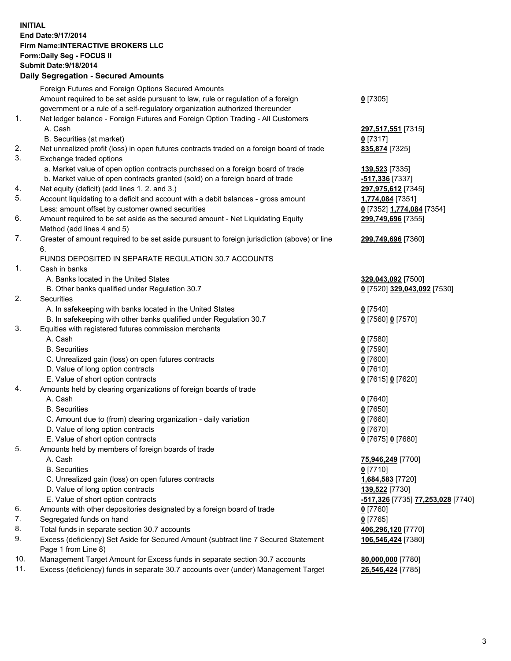## **INITIAL End Date:9/17/2014 Firm Name:INTERACTIVE BROKERS LLC Form:Daily Seg - FOCUS II Submit Date:9/18/2014 Daily Segregation - Secured Amounts**

|     | Daily Ocglegation - Occarea Anioants                                                        |                                                |
|-----|---------------------------------------------------------------------------------------------|------------------------------------------------|
|     | Foreign Futures and Foreign Options Secured Amounts                                         |                                                |
|     | Amount required to be set aside pursuant to law, rule or regulation of a foreign            | $0$ [7305]                                     |
|     | government or a rule of a self-regulatory organization authorized thereunder                |                                                |
| 1.  | Net ledger balance - Foreign Futures and Foreign Option Trading - All Customers             |                                                |
|     | A. Cash                                                                                     | 297,517,551 [7315]                             |
|     | B. Securities (at market)                                                                   | $0$ [7317]                                     |
| 2.  | Net unrealized profit (loss) in open futures contracts traded on a foreign board of trade   | 835,874 [7325]                                 |
| 3.  | Exchange traded options                                                                     |                                                |
|     | a. Market value of open option contracts purchased on a foreign board of trade              | 139,523 [7335]                                 |
|     | b. Market value of open contracts granted (sold) on a foreign board of trade                | -517,336 [7337]                                |
| 4.  | Net equity (deficit) (add lines 1. 2. and 3.)                                               | 297,975,612 [7345]                             |
| 5.  | Account liquidating to a deficit and account with a debit balances - gross amount           | 1,774,084 [7351]                               |
|     | Less: amount offset by customer owned securities                                            | 0 [7352] 1,774,084 [7354]                      |
| 6.  | Amount required to be set aside as the secured amount - Net Liquidating Equity              | 299,749,696 [7355]                             |
|     | Method (add lines 4 and 5)                                                                  |                                                |
| 7.  | Greater of amount required to be set aside pursuant to foreign jurisdiction (above) or line | 299,749,696 [7360]                             |
|     | 6.                                                                                          |                                                |
|     | FUNDS DEPOSITED IN SEPARATE REGULATION 30.7 ACCOUNTS                                        |                                                |
| 1.  | Cash in banks                                                                               |                                                |
|     | A. Banks located in the United States                                                       | 329,043,092 [7500]                             |
|     | B. Other banks qualified under Regulation 30.7                                              | 0 [7520] 329,043,092 [7530]                    |
| 2.  | <b>Securities</b>                                                                           |                                                |
|     | A. In safekeeping with banks located in the United States                                   | $0$ [7540]                                     |
|     | B. In safekeeping with other banks qualified under Regulation 30.7                          | 0 [7560] 0 [7570]                              |
| 3.  | Equities with registered futures commission merchants                                       |                                                |
|     | A. Cash                                                                                     | $0$ [7580]                                     |
|     | <b>B.</b> Securities                                                                        | $0$ [7590]                                     |
|     | C. Unrealized gain (loss) on open futures contracts                                         | $0$ [7600]                                     |
|     | D. Value of long option contracts                                                           | $0$ [7610]                                     |
|     | E. Value of short option contracts                                                          | 0 [7615] 0 [7620]                              |
| 4.  | Amounts held by clearing organizations of foreign boards of trade                           |                                                |
|     | A. Cash                                                                                     | $0$ [7640]                                     |
|     | <b>B.</b> Securities                                                                        | $0$ [7650]                                     |
|     | C. Amount due to (from) clearing organization - daily variation                             | $0$ [7660]                                     |
|     | D. Value of long option contracts                                                           | $0$ [7670]                                     |
|     | E. Value of short option contracts                                                          | 0 [7675] 0 [7680]                              |
| 5.  | Amounts held by members of foreign boards of trade                                          |                                                |
|     | A. Cash                                                                                     | 75,946,249 [7700]                              |
|     | <b>B.</b> Securities                                                                        | $0$ [7710]                                     |
|     | C. Unrealized gain (loss) on open futures contracts                                         | 1,684,583 [7720]                               |
|     | D. Value of long option contracts                                                           | 139,522 [7730]                                 |
|     | E. Value of short option contracts                                                          | <mark>-517,326</mark> [7735] 77,253,028 [7740] |
| 6.  | Amounts with other depositories designated by a foreign board of trade                      | 0 [7760]                                       |
| 7.  | Segregated funds on hand                                                                    | $0$ [7765]                                     |
| 8.  | Total funds in separate section 30.7 accounts                                               | 406,296,120 [7770]                             |
| 9.  | Excess (deficiency) Set Aside for Secured Amount (subtract line 7 Secured Statement         | 106,546,424 [7380]                             |
|     | Page 1 from Line 8)                                                                         |                                                |
| 10. | Management Target Amount for Excess funds in separate section 30.7 accounts                 | 80,000,000 [7780]                              |
| 11. | Excess (deficiency) funds in separate 30.7 accounts over (under) Management Target          | 26,546,424 [7785]                              |
|     |                                                                                             |                                                |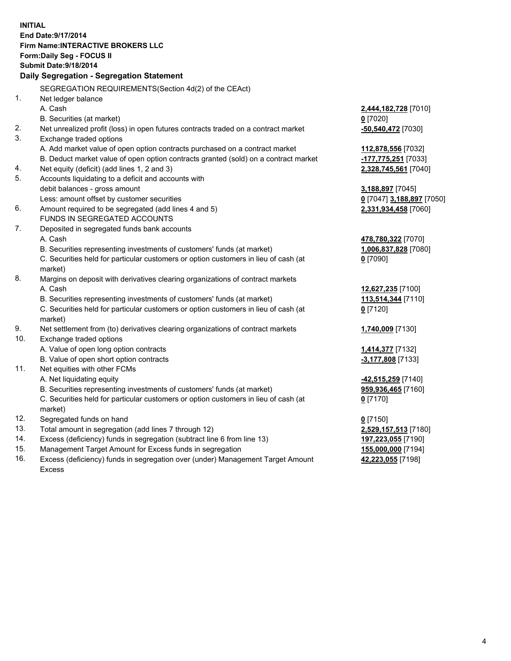**INITIAL End Date:9/17/2014 Firm Name:INTERACTIVE BROKERS LLC Form:Daily Seg - FOCUS II Submit Date:9/18/2014 Daily Segregation - Segregation Statement** SEGREGATION REQUIREMENTS(Section 4d(2) of the CEAct) 1. Net ledger balance A. Cash **2,444,182,728** [7010] B. Securities (at market) **0** [7020] 2. Net unrealized profit (loss) in open futures contracts traded on a contract market **-50,540,472** [7030] 3. Exchange traded options A. Add market value of open option contracts purchased on a contract market **112,878,556** [7032] B. Deduct market value of open option contracts granted (sold) on a contract market **-177,775,251** [7033] 4. Net equity (deficit) (add lines 1, 2 and 3) **2,328,745,561** [7040] 5. Accounts liquidating to a deficit and accounts with debit balances - gross amount **3,188,897** [7045] Less: amount offset by customer securities **0** [7047] **3,188,897** [7050] 6. Amount required to be segregated (add lines 4 and 5) **2,331,934,458** [7060] FUNDS IN SEGREGATED ACCOUNTS 7. Deposited in segregated funds bank accounts A. Cash **478,780,322** [7070] B. Securities representing investments of customers' funds (at market) **1,006,837,828** [7080] C. Securities held for particular customers or option customers in lieu of cash (at market) **0** [7090] 8. Margins on deposit with derivatives clearing organizations of contract markets A. Cash **12,627,235** [7100] B. Securities representing investments of customers' funds (at market) **113,514,344** [7110] C. Securities held for particular customers or option customers in lieu of cash (at market) **0** [7120] 9. Net settlement from (to) derivatives clearing organizations of contract markets **1,740,009** [7130] 10. Exchange traded options A. Value of open long option contracts **1,414,377** [7132] B. Value of open short option contracts **-3,177,808** [7133] 11. Net equities with other FCMs A. Net liquidating equity **-42,515,259** [7140] B. Securities representing investments of customers' funds (at market) **959,936,465** [7160] C. Securities held for particular customers or option customers in lieu of cash (at market) **0** [7170] 12. Segregated funds on hand **0** [7150] 13. Total amount in segregation (add lines 7 through 12) **2,529,157,513** [7180] 14. Excess (deficiency) funds in segregation (subtract line 6 from line 13) **197,223,055** [7190] 15. Management Target Amount for Excess funds in segregation **155,000,000** [7194]

16. Excess (deficiency) funds in segregation over (under) Management Target Amount Excess

**42,223,055** [7198]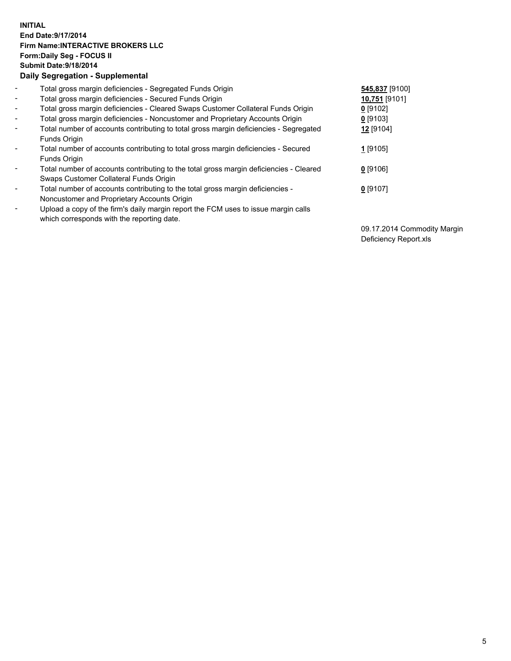## **INITIAL End Date:9/17/2014 Firm Name:INTERACTIVE BROKERS LLC Form:Daily Seg - FOCUS II Submit Date:9/18/2014 Daily Segregation - Supplemental**

| $\blacksquare$           | Total gross margin deficiencies - Segregated Funds Origin                              | 545,837 [9100] |
|--------------------------|----------------------------------------------------------------------------------------|----------------|
| $\sim$                   | Total gross margin deficiencies - Secured Funds Origin                                 | 10,751 [9101]  |
| $\blacksquare$           | Total gross margin deficiencies - Cleared Swaps Customer Collateral Funds Origin       | $0$ [9102]     |
| $\blacksquare$           | Total gross margin deficiencies - Noncustomer and Proprietary Accounts Origin          | $0$ [9103]     |
| $\blacksquare$           | Total number of accounts contributing to total gross margin deficiencies - Segregated  | 12 [9104]      |
|                          | Funds Origin                                                                           |                |
| $\blacksquare$           | Total number of accounts contributing to total gross margin deficiencies - Secured     | 1 [9105]       |
|                          | <b>Funds Origin</b>                                                                    |                |
| $\blacksquare$           | Total number of accounts contributing to the total gross margin deficiencies - Cleared | $0$ [9106]     |
|                          | Swaps Customer Collateral Funds Origin                                                 |                |
| $\overline{\phantom{a}}$ | Total number of accounts contributing to the total gross margin deficiencies -         | $0$ [9107]     |
|                          | Noncustomer and Proprietary Accounts Origin                                            |                |
| $\overline{\phantom{a}}$ | Upload a copy of the firm's daily margin report the FCM uses to issue margin calls     |                |
|                          | which corresponds with the reporting date.                                             |                |

09.17.2014 Commodity Margin Deficiency Report.xls